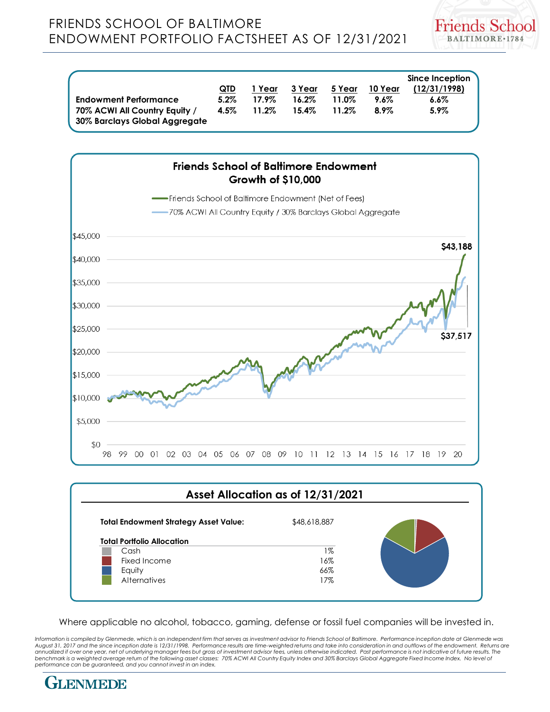

|                                                                | <b>QTD</b> | 1 Year   | 3 Year   | 5 Year | 10 Year | Since Inception<br>(12/31/1998) |
|----------------------------------------------------------------|------------|----------|----------|--------|---------|---------------------------------|
| <b>Endowment Performance</b>                                   | $5.2\%$    | 17.9%    | $16.2\%$ | 11.0%  | $9.6\%$ | $6.6\%$                         |
| 70% ACWI All Country Equity /<br>30% Barclays Global Aggregate | 4.5%       | $11.2\%$ | 15.4%    | 11.2%  | $8.9\%$ | $5.9\%$                         |



## **Total Endowment Strategy Asset Value:** \$48,618,887 **Total Portfolio Allocation** Cash 1% Fixed Income 2008 16% Equity 66% Alternatives 2012 17% **Asset Allocation as of 12/31/2021**

Where applicable no alcohol, tobacco, gaming, defense or fossil fuel companies will be invested in.

*Information is compiled by Glenmede, which is an independent firm that serves as investment advisor to Friends School of Baltimore. Performance inception date at Glenmede was August 31, 2017 and the since inception date is 12/31/1998. Performance results are time-weighted returns and take into consideration in and outflows of the endowment. Returns are annualized if over one year, net of underlying manager fees but gross of investment advisor fees, unless otherwise indicated. Past performance is not indicative of future results. The*  benchmark is a weighted average return of the following asset classes: 70% ACWI All Country Equity Index and 30% Barclays Global Aggregate Fixed Income Index. No level of<br>performance can be guaranteed, and you cannot inves